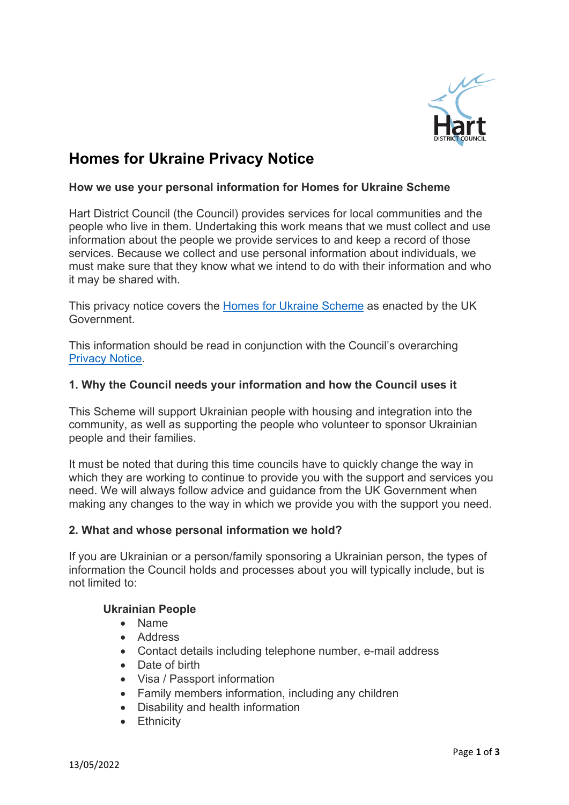

# **Homes for Ukraine Privacy Notice**

#### **How we use your personal information for Homes for Ukraine Scheme**

Hart District Council (the Council) provides services for local communities and the people who live in them. Undertaking this work means that we must collect and use information about the people we provide services to and keep a record of those services. Because we collect and use personal information about individuals, we must make sure that they know what we intend to do with their information and who it may be shared with.

This privacy notice covers the [Homes for Ukraine](https://www.gov.uk/register-interest-homes-ukraine) Scheme as enacted by the UK Government.

This information should be read in conjunction with the Council's overarching [Privacy Notice.](https://www.hart.gov.uk/privacy)

#### **1. Why the Council needs your information and how the Council uses it**

This Scheme will support Ukrainian people with housing and integration into the community, as well as supporting the people who volunteer to sponsor Ukrainian people and their families.

It must be noted that during this time councils have to quickly change the way in which they are working to continue to provide you with the support and services you need. We will always follow advice and guidance from the UK Government when making any changes to the way in which we provide you with the support you need.

#### **2. What and whose personal information we hold?**

If you are Ukrainian or a person/family sponsoring a Ukrainian person, the types of information the Council holds and processes about you will typically include, but is not limited to:

#### **Ukrainian People**

- Name
- Address
- Contact details including telephone number, e-mail address
- Date of birth
- Visa / Passport information
- Family members information, including any children
- Disability and health information
- Ethnicity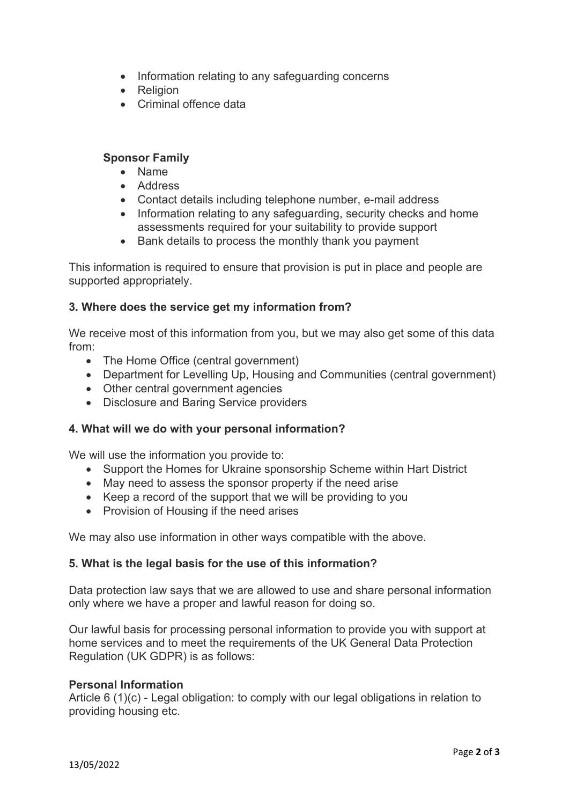- Information relating to any safeguarding concerns
- Religion
- Criminal offence data

### **Sponsor Family**

- Name
- Address
- Contact details including telephone number, e-mail address
- Information relating to any safeguarding, security checks and home assessments required for your suitability to provide support
- Bank details to process the monthly thank you payment

This information is required to ensure that provision is put in place and people are supported appropriately.

# **3. Where does the service get my information from?**

We receive most of this information from you, but we may also get some of this data from:

- The Home Office (central government)
- Department for Levelling Up, Housing and Communities (central government)
- Other central government agencies
- Disclosure and Baring Service providers

# **4. What will we do with your personal information?**

We will use the information you provide to:

- Support the Homes for Ukraine sponsorship Scheme within Hart District
- May need to assess the sponsor property if the need arise
- Keep a record of the support that we will be providing to you
- Provision of Housing if the need arises

We may also use information in other ways compatible with the above.

#### **5. What is the legal basis for the use of this information?**

Data protection law says that we are allowed to use and share personal information only where we have a proper and lawful reason for doing so.

Our lawful basis for processing personal information to provide you with support at home services and to meet the requirements of the UK General Data Protection Regulation (UK GDPR) is as follows:

#### **Personal Information**

Article 6 (1)(c) - Legal obligation: to comply with our legal obligations in relation to providing housing etc.